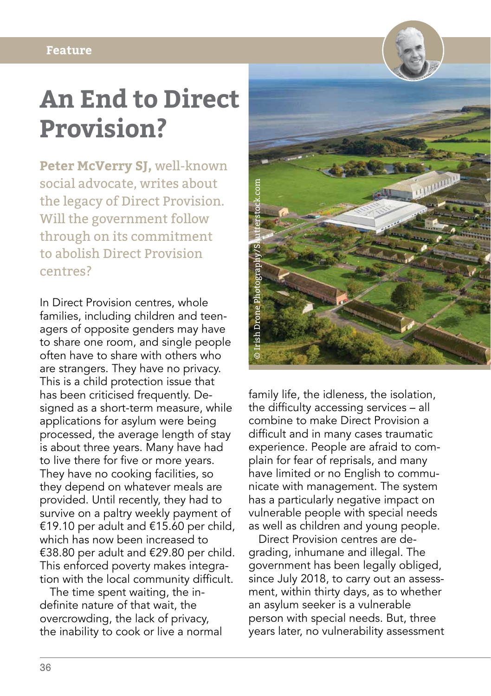## **An End to Direct Provision?**

**Peter McVerry SJ,** well-known social advocate, writes about the legacy of Direct Provision. Will the government follow through on its commitment to abolish Direct Provision centres?

In Direct Provision centres, whole families, including children and teenagers of opposite genders may have to share one room, and single people often have to share with others who are strangers. They have no privacy. This is a child protection issue that has been criticised frequently. Designed as a short-term measure, while applications for asylum were being processed, the average length of stay is about three years. Many have had to live there for five or more years. They have no cooking facilities, so they depend on whatever meals are provided. Until recently, they had to survive on a paltry weekly payment of €19.10 per adult and €15.60 per child, which has now been increased to €38.80 per adult and €29.80 per child. This enforced poverty makes integration with the local community difficult.

The time spent waiting, the indefinite nature of that wait, the overcrowding, the lack of privacy, the inability to cook or live a normal



family life, the idleness, the isolation, the difficulty accessing services – all combine to make Direct Provision a difficult and in many cases traumatic experience. People are afraid to complain for fear of reprisals, and many have limited or no English to communicate with management. The system has a particularly negative impact on vulnerable people with special needs as well as children and young people.

Direct Provision centres are degrading, inhumane and illegal. The government has been legally obliged, since July 2018, to carry out an assessment, within thirty days, as to whether an asylum seeker is a vulnerable person with special needs. But, three years later, no vulnerability assessment